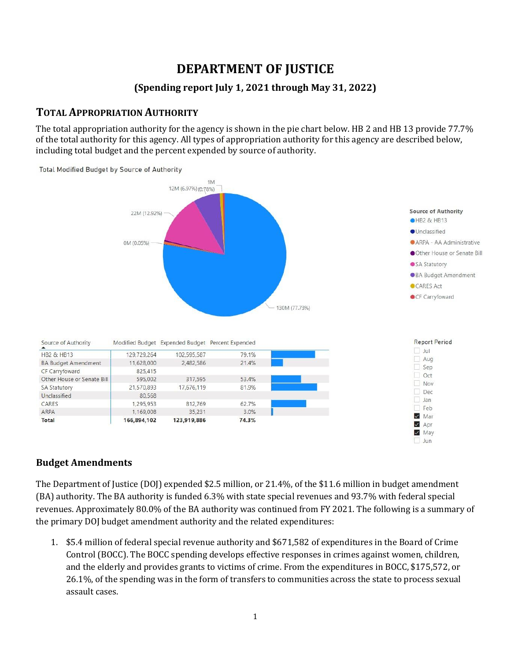# **DEPARTMENT OF JUSTICE**

### **(Spending report July 1, 2021 through May 31, 2022)**

### **TOTAL APPROPRIATION AUTHORITY**

The total appropriation authority for the agency is shown in the pie chart below. HB 2 and HB 13 provide 77.7% of the total authority for this agency. All types of appropriation authority for this agency are described below, including total budget and the percent expended by source of authority.



#### **Budget Amendments**

The Department of Justice (DOJ) expended \$2.5 million, or 21.4%, of the \$11.6 million in budget amendment (BA) authority. The BA authority is funded 6.3% with state special revenues and 93.7% with federal special revenues. Approximately 80.0% of the BA authority was continued from FY 2021. The following is a summary of the primary DOJ budget amendment authority and the related expenditures:

1. \$5.4 million of federal special revenue authority and \$671,582 of expenditures in the Board of Crime Control (BOCC). The BOCC spending develops effective responses in crimes against women, children, and the elderly and provides grants to victims of crime. From the expenditures in BOCC, \$175,572, or 26.1%, of the spending was in the form of transfers to communities across the state to process sexual assault cases.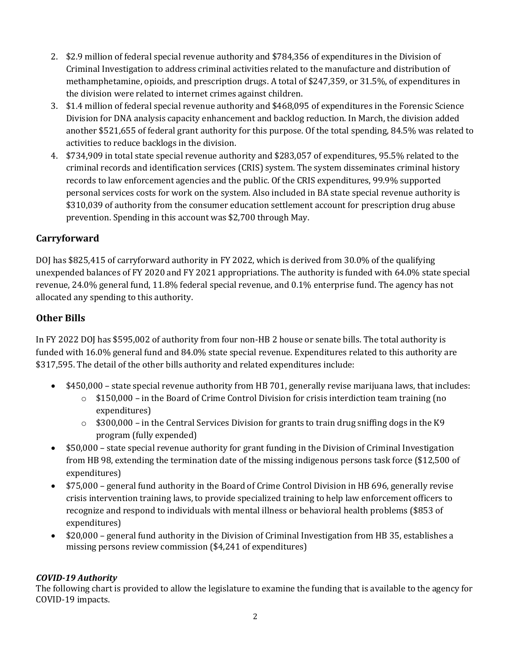- 2. \$2.9 million of federal special revenue authority and \$784,356 of expenditures in the Division of Criminal Investigation to address criminal activities related to the manufacture and distribution of methamphetamine, opioids, and prescription drugs. A total of \$247,359, or 31.5%, of expenditures in the division were related to internet crimes against children.
- 3. \$1.4 million of federal special revenue authority and \$468,095 of expenditures in the Forensic Science Division for DNA analysis capacity enhancement and backlog reduction. In March, the division added another \$521,655 of federal grant authority for this purpose. Of the total spending, 84.5% was related to activities to reduce backlogs in the division.
- 4. \$734,909 in total state special revenue authority and \$283,057 of expenditures, 95.5% related to the criminal records and identification services (CRIS) system. The system disseminates criminal history records to law enforcement agencies and the public. Of the CRIS expenditures, 99.9% supported personal services costs for work on the system. Also included in BA state special revenue authority is \$310,039 of authority from the consumer education settlement account for prescription drug abuse prevention. Spending in this account was \$2,700 through May.

### **Carryforward**

DOJ has \$825,415 of carryforward authority in FY 2022, which is derived from 30.0% of the qualifying unexpended balances of FY 2020 and FY 2021 appropriations. The authority is funded with 64.0% state special revenue, 24.0% general fund, 11.8% federal special revenue, and 0.1% enterprise fund. The agency has not allocated any spending to this authority.

### **Other Bills**

In FY 2022 DOJ has \$595,002 of authority from four non-HB 2 house or senate bills. The total authority is funded with 16.0% general fund and 84.0% state special revenue. Expenditures related to this authority are \$317,595. The detail of the other bills authority and related expenditures include:

- \$450,000 state special revenue authority from HB 701, generally revise marijuana laws, that includes:
	- $\circ$  \$150,000 in the Board of Crime Control Division for crisis interdiction team training (no expenditures)
	- $\circ$  \$300,000 in the Central Services Division for grants to train drug sniffing dogs in the K9 program (fully expended)
- \$50,000 state special revenue authority for grant funding in the Division of Criminal Investigation from HB 98, extending the termination date of the missing indigenous persons task force (\$12,500 of expenditures)
- \$75,000 general fund authority in the Board of Crime Control Division in HB 696, generally revise crisis intervention training laws, to provide specialized training to help law enforcement officers to recognize and respond to individuals with mental illness or behavioral health problems (\$853 of expenditures)
- \$20,000 general fund authority in the Division of Criminal Investigation from HB 35, establishes a missing persons review commission (\$4,241 of expenditures)

#### *COVID-19 Authority*

The following chart is provided to allow the legislature to examine the funding that is available to the agency for COVID-19 impacts.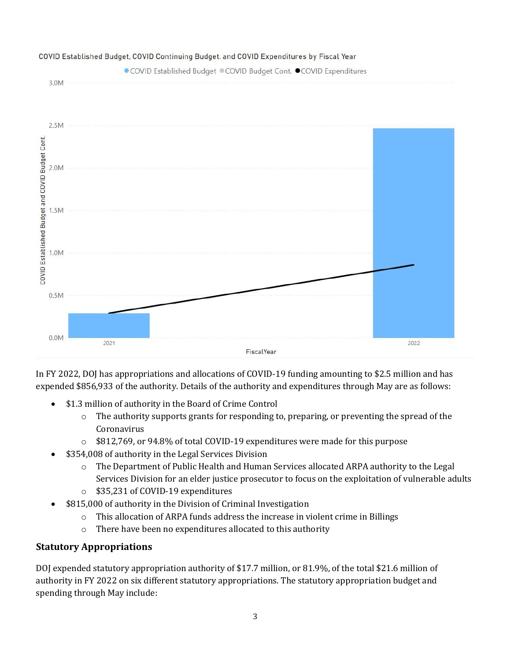

In FY 2022, DOJ has appropriations and allocations of COVID-19 funding amounting to \$2.5 million and has expended \$856,933 of the authority. Details of the authority and expenditures through May are as follows:

- \$1.3 million of authority in the Board of Crime Control
	- $\circ$  The authority supports grants for responding to, preparing, or preventing the spread of the Coronavirus
	- o \$812,769, or 94.8% of total COVID-19 expenditures were made for this purpose
- \$354,008 of authority in the Legal Services Division
	- o The Department of Public Health and Human Services allocated ARPA authority to the Legal Services Division for an elder justice prosecutor to focus on the exploitation of vulnerable adults
	- o \$35,231 of COVID-19 expenditures
- \$815,000 of authority in the Division of Criminal Investigation
	- $\circ$  This allocation of ARPA funds address the increase in violent crime in Billings
	- o There have been no expenditures allocated to this authority

## **Statutory Appropriations**

DOJ expended statutory appropriation authority of \$17.7 million, or 81.9%, of the total \$21.6 million of authority in FY 2022 on six different statutory appropriations. The statutory appropriation budget and spending through May include: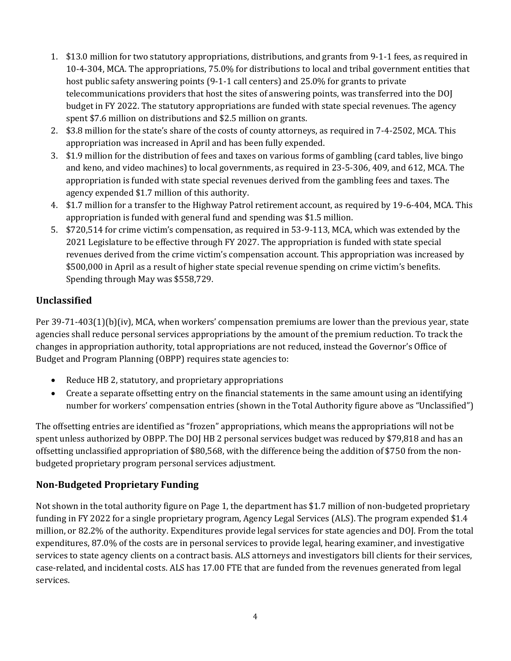- 1. \$13.0 million for two statutory appropriations, distributions, and grants from 9-1-1 fees, as required in 10-4-304, MCA. The appropriations, 75.0% for distributions to local and tribal government entities that host public safety answering points (9-1-1 call centers) and 25.0% for grants to private telecommunications providers that host the sites of answering points, was transferred into the DOJ budget in FY 2022. The statutory appropriations are funded with state special revenues. The agency spent \$7.6 million on distributions and \$2.5 million on grants.
- 2. \$3.8 million for the state's share of the costs of county attorneys, as required in 7-4-2502, MCA. This appropriation was increased in April and has been fully expended.
- 3. \$1.9 million for the distribution of fees and taxes on various forms of gambling (card tables, live bingo and keno, and video machines) to local governments, as required in 23-5-306, 409, and 612, MCA. The appropriation is funded with state special revenues derived from the gambling fees and taxes. The agency expended \$1.7 million of this authority.
- 4. \$1.7 million for a transfer to the Highway Patrol retirement account, as required by 19-6-404, MCA. This appropriation is funded with general fund and spending was \$1.5 million.
- 5. \$720,514 for crime victim's compensation, as required in 53-9-113, MCA, which was extended by the 2021 Legislature to be effective through FY 2027. The appropriation is funded with state special revenues derived from the crime victim's compensation account. This appropriation was increased by \$500,000 in April as a result of higher state special revenue spending on crime victim's benefits. Spending through May was \$558,729.

### **Unclassified**

Per 39-71-403(1)(b)(iv), MCA, when workers' compensation premiums are lower than the previous year, state agencies shall reduce personal services appropriations by the amount of the premium reduction. To track the changes in appropriation authority, total appropriations are not reduced, instead the Governor's Office of Budget and Program Planning (OBPP) requires state agencies to:

- Reduce HB 2, statutory, and proprietary appropriations
- Create a separate offsetting entry on the financial statements in the same amount using an identifying number for workers' compensation entries (shown in the Total Authority figure above as "Unclassified")

The offsetting entries are identified as "frozen" appropriations, which means the appropriations will not be spent unless authorized by OBPP. The DOJ HB 2 personal services budget was reduced by \$79,818 and has an offsetting unclassified appropriation of \$80,568, with the difference being the addition of \$750 from the nonbudgeted proprietary program personal services adjustment.

### **Non-Budgeted Proprietary Funding**

Not shown in the total authority figure on Page 1, the department has \$1.7 million of non-budgeted proprietary funding in FY 2022 for a single proprietary program, Agency Legal Services (ALS). The program expended \$1.4 million, or 82.2% of the authority. Expenditures provide legal services for state agencies and DOJ. From the total expenditures, 87.0% of the costs are in personal services to provide legal, hearing examiner, and investigative services to state agency clients on a contract basis. ALS attorneys and investigators bill clients for their services, case-related, and incidental costs. ALS has 17.00 FTE that are funded from the revenues generated from legal services.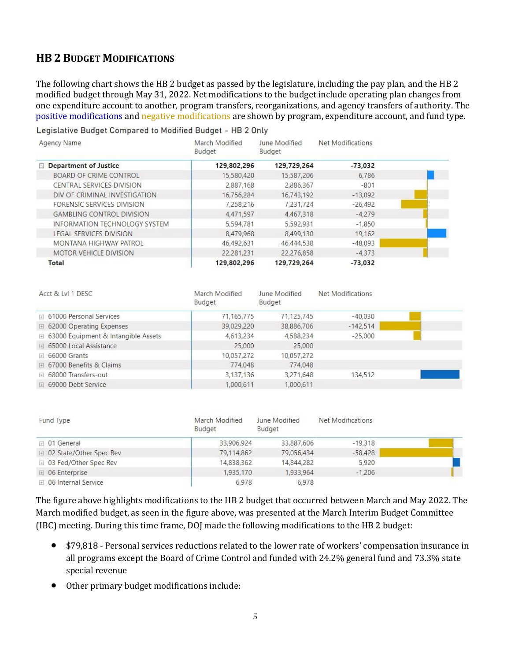### **HB 2 BUDGET MODIFICATIONS**

The following chart shows the HB 2 budget as passed by the legislature, including the pay plan, and the HB 2 modified budget through May 31, 2022. Net modifications to the budget include operating plan changes from one expenditure account to another, program transfers, reorganizations, and agency transfers of authority. The positive modifications and negative modifications are shown by program, expenditure account, and fund type.

Legislative Budget Compared to Modified Budget - HB 2 Only

| Agency Name                          | March Modified<br>Budget | June Modified<br>Budget | Net Modifications |  |
|--------------------------------------|--------------------------|-------------------------|-------------------|--|
| $\Box$ Department of Justice         | 129,802,296              | 129,729,264             | $-73.032$         |  |
| BOARD OF CRIME CONTROL               | 15,580,420               | 15,587,206              | 6.786             |  |
| CENTRAL SERVICES DIVISION            | 2,887,168                | 2,886,367               | $-801$            |  |
| DIV OF CRIMINAL INVESTIGATION        | 16,756,284               | 16,743,192              | $-13.092$         |  |
| FORENSIC SERVICES DIVISION           | 7,258,216                | 7,231,724               | $-26.492$         |  |
| <b>GAMBLING CONTROL DIVISION</b>     | 4.471.597                | 4,467,318               | $-4.279$          |  |
| <b>INFORMATION TECHNOLOGY SYSTEM</b> | 5,594,781                | 5,592,931               | $-1,850$          |  |
| <b>LEGAL SERVICES DIVISION</b>       | 8,479,968                | 8,499,130               | 19,162            |  |
| MONTANA HIGHWAY PATROL               | 46,492,631               | 46,444,538              | $-48,093$         |  |
| <b>MOTOR VEHICLE DIVISION</b>        | 22,281,231               | 22,276,858              | $-4.373$          |  |
| Total                                | 129,802,296              | 129,729,264             | $-73.032$         |  |

| Acct & LvI 1 DESC                     | March Modified<br>Budget | June Modified<br>Budget | Net Modifications |  |
|---------------------------------------|--------------------------|-------------------------|-------------------|--|
| $\mp$ 61000 Personal Services         | 71.165.775               | 71,125,745              | $-40.030$         |  |
| □ 62000 Operating Expenses            | 39,029,220               | 38,886,706              | $-142,514$        |  |
| ⊞ 63000 Equipment & Intangible Assets | 4,613,234                | 4,588,234               | $-25,000$         |  |
| □ 65000 Local Assistance              | 25,000                   | 25,000                  |                   |  |
| $\boxplus$ 66000 Grants               | 10,057,272               | 10,057,272              |                   |  |
| □ 67000 Benefits & Claims             | 774.048                  | 774,048                 |                   |  |
| <b>E</b> 68000 Transfers-out          | 3,137,136                | 3,271,648               | 134,512           |  |
| □ 69000 Debt Service                  | 1,000,611                | 1.000,611               |                   |  |

| Fund Type                 | March Modified<br>Budget | June Modified<br>Budget | Net Modifications |  |
|---------------------------|--------------------------|-------------------------|-------------------|--|
| $\equiv$ 01 General       | 33,906,924               | 33,887,606              | $-19,318$         |  |
| □ 02 State/Other Spec Rev | 79,114,862               | 79,056,434              | $-58,428$         |  |
| □ 03 Fed/Other Spec Rev   | 14,838,362               | 14,844,282              | 5.920             |  |
| $\boxplus$ 06 Enterprise  | 1.935,170                | 1,933,964               | $-1.206$          |  |
| □ 06 Internal Service     | 6,978                    | 6,978                   |                   |  |

The figure above highlights modifications to the HB 2 budget that occurred between March and May 2022. The March modified budget, as seen in the figure above, was presented at the March Interim Budget Committee (IBC) meeting. During this time frame, DOJ made the following modifications to the HB 2 budget:

- \$79,818 Personal services reductions related to the lower rate of workers' compensation insurance in all programs except the Board of Crime Control and funded with 24.2% general fund and 73.3% state special revenue
- Other primary budget modifications include: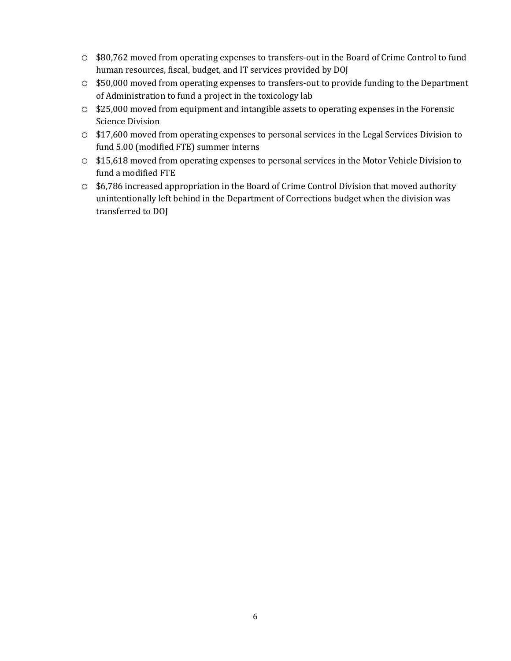- o \$80,762 moved from operating expenses to transfers-out in the Board of Crime Control to fund human resources, fiscal, budget, and IT services provided by DOJ
- o \$50,000 moved from operating expenses to transfers-out to provide funding to the Department of Administration to fund a project in the toxicology lab
- o \$25,000 moved from equipment and intangible assets to operating expenses in the Forensic Science Division
- o \$17,600 moved from operating expenses to personal services in the Legal Services Division to fund 5.00 (modified FTE) summer interns
- o \$15,618 moved from operating expenses to personal services in the Motor Vehicle Division to fund a modified FTE
- o \$6,786 increased appropriation in the Board of Crime Control Division that moved authority unintentionally left behind in the Department of Corrections budget when the division was transferred to DOJ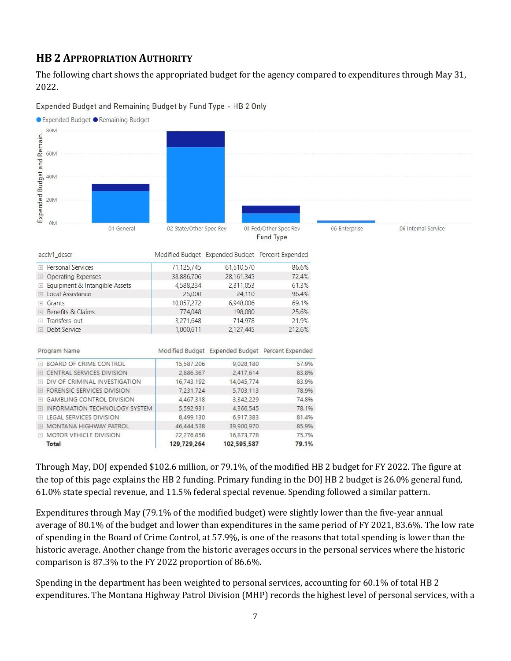## **HB 2 APPROPRIATION AUTHORITY**

The following chart shows the appropriated budget for the agency compared to expenditures through May 31, 2022.

Expended Budget and Remaining Budget by Fund Type - HB 2 Only



Through May, DOJ expended \$102.6 million, or 79.1%, of the modified HB 2 budget for FY 2022. The figure at the top of this page explains the HB 2 funding. Primary funding in the DOJ HB 2 budget is 26.0% general fund, 61.0% state special revenue, and 11.5% federal special revenue. Spending followed a similar pattern.

Expenditures through May (79.1% of the modified budget) were slightly lower than the five-year annual average of 80.1% of the budget and lower than expenditures in the same period of FY 2021, 83.6%. The low rate of spending in the Board of Crime Control, at 57.9%, is one of the reasons that total spending is lower than the historic average. Another change from the historic averages occurs in the personal services where the historic comparison is 87.3% to the FY 2022 proportion of 86.6%.

Spending in the department has been weighted to personal services, accounting for 60.1% of total HB 2 expenditures. The Montana Highway Patrol Division (MHP) records the highest level of personal services, with a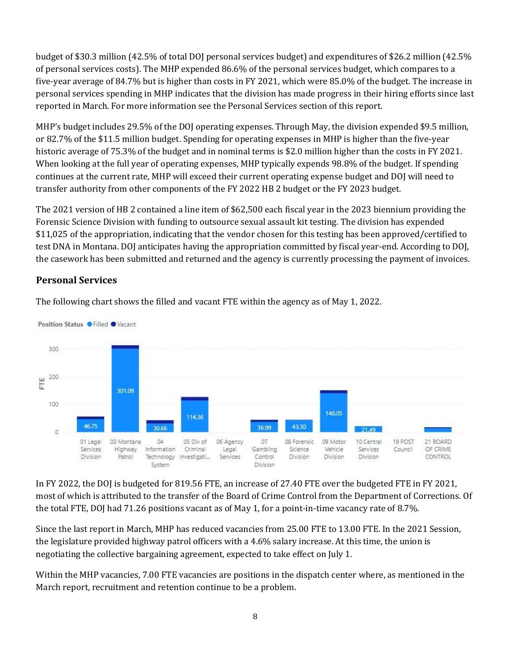budget of \$30.3 million (42.5% of total DOJ personal services budget) and expenditures of \$26.2 million (42.5% of personal services costs). The MHP expended 86.6% of the personal services budget, which compares to a five-year average of 84.7% but is higher than costs in FY 2021, which were 85.0% of the budget. The increase in personal services spending in MHP indicates that the division has made progress in their hiring efforts since last reported in March. For more information see the Personal Services section of this report.

MHP's budget includes 29.5% of the DOJ operating expenses. Through May, the division expended \$9.5 million, or 82.7% of the \$11.5 million budget. Spending for operating expenses in MHP is higher than the five-year historic average of 75.3% of the budget and in nominal terms is \$2.0 million higher than the costs in FY 2021. When looking at the full year of operating expenses, MHP typically expends 98.8% of the budget. If spending continues at the current rate, MHP will exceed their current operating expense budget and DOJ will need to transfer authority from other components of the FY 2022 HB 2 budget or the FY 2023 budget.

The 2021 version of HB 2 contained a line item of \$62,500 each fiscal year in the 2023 biennium providing the Forensic Science Division with funding to outsource sexual assault kit testing. The division has expended \$11,025 of the appropriation, indicating that the vendor chosen for this testing has been approved/certified to test DNA in Montana. DOJ anticipates having the appropriation committed by fiscal year-end. According to DOJ, the casework has been submitted and returned and the agency is currently processing the payment of invoices.

### **Personal Services**



The following chart shows the filled and vacant FTE within the agency as of May 1, 2022.

In FY 2022, the DOJ is budgeted for 819.56 FTE, an increase of 27.40 FTE over the budgeted FTE in FY 2021, most of which is attributed to the transfer of the Board of Crime Control from the Department of Corrections. Of the total FTE, DOJ had 71.26 positions vacant as of May 1, for a point-in-time vacancy rate of 8.7%.

Since the last report in March, MHP has reduced vacancies from 25.00 FTE to 13.00 FTE. In the 2021 Session, the legislature provided highway patrol officers with a 4.6% salary increase. At this time, the union is negotiating the collective bargaining agreement, expected to take effect on July 1.

Within the MHP vacancies, 7.00 FTE vacancies are positions in the dispatch center where, as mentioned in the March report, recruitment and retention continue to be a problem.